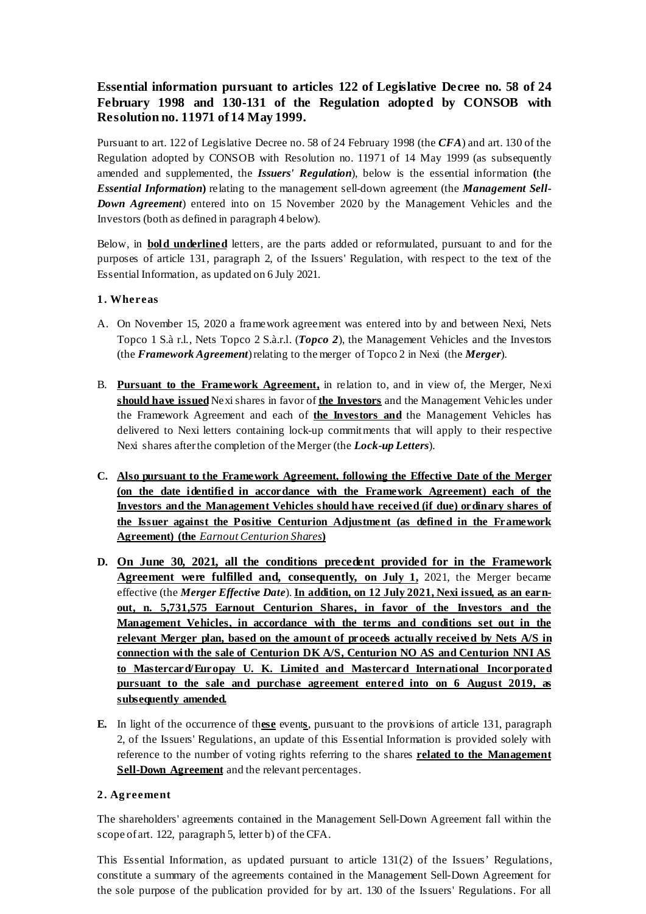# **Essential information pursuant to articles 122 of Legislative Decree no. 58 of 24 February 1998 and 130-131 of the Regulation adopted by CONSOB with Resolution no. 11971 of 14 May 1999.**

Pursuant to art. 122 of Legislative Decree no. 58 of 24 February 1998 (the *CFA*) and art. 130 of the Regulation adopted by CONSOB with Resolution no. 11971 of 14 May 1999 (as subsequently amended and supplemented, the *Issuers' Regulation*), below is the essential information **(**the *Essential Information***)** relating to the management sell-down agreement (the *Management Sell-Down Agreement*) entered into on 15 November 2020 by the Management Vehicles and the Investors (both as defined in paragraph 4 below).

Below, in **bold underlined** letters, are the parts added or reformulated, pursuant to and for the purposes of article 131, paragraph 2, of the Issuers' Regulation, with respect to the text of the Essential Information, as updated on 6 July 2021.

# **1. Whereas**

- A. On November 15, 2020 a framework agreement was entered into by and between Nexi, Nets Topco 1 S.à r.l., Nets Topco 2 S.à.r.l. (*Topco 2*), the Management Vehicles and the Investors (the *Framework Agreement*) relating to the merger of Topco 2 in Nexi (the *Merger*).
- B. **Pursuant to the Framework Agreement,** in relation to, and in view of, the Merger, Nexi **should have issued** Nexi shares in favor of **the Investors** and the Management Vehicles under the Framework Agreement and each of **the Investors and** the Management Vehicles has delivered to Nexi letters containing lock-up commitments that will apply to their respective Nexi shares after the completion of the Merger (the *Lock-up Letters*).
- **C. Also pursuant to the Framework Agreement, following the Effective Date of the Merger (on the date identified in accordance with the Framework Agreement) each of the Investors and the Management Vehicles should have received (if due) ordinary shares of the Issuer against the Positive Centurion Adjustment (as defined in the Framework Agreement) (the** *Earnout Centurion Shares***)**
- **D. On June 30, 2021, all the conditions precedent provided for in the Framework Agreement were fulfilled and, consequently, on July 1,** 2021, the Merger became effective (the *Merger Effective Date*). **In addition, on 12 July 2021, Nexi issued, as an earnout, n. 5,731,575 Earnout Centurion Shares, in favor of the Investors and the Management Vehicles, in accordance with the terms and conditions set out in the relevant Merger plan, based on the amount of proceeds actually received by Nets A/S in connection with the sale of Centurion DK A/S, Centurion NO AS and Centurion NNI AS to Mastercard/Europay U. K. Limited and Mastercard International Incorporated pursuant to the sale and purchase agreement entered into on 6 August 2019, as subsequently amended.**
- **E.** In light of the occurrence of th**ese** event**s**, pursuant to the provisions of article 131, paragraph 2, of the Issuers' Regulations, an update of this Essential Information is provided solely with reference to the number of voting rights referring to the shares **related to the Management Sell-Down Agreement** and the relevant percentages.

# **2. Agreement**

The shareholders' agreements contained in the Management Sell-Down Agreement fall within the scope of art. 122, paragraph 5, letter b) of the CFA.

This Essential Information, as updated pursuant to article  $131(2)$  of the Issuers' Regulations, constitute a summary of the agreements contained in the Management Sell-Down Agreement for the sole purpose of the publication provided for by art. 130 of the Issuers' Regulations. For all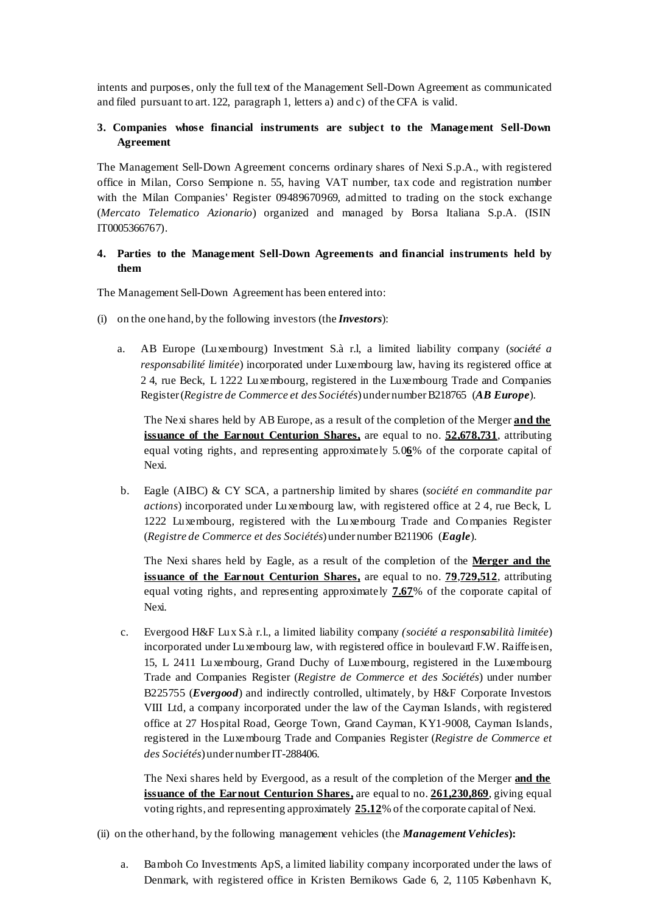intents and purposes, only the full text of the Management Sell-Down Agreement as communicated and filed pursuant to art. 122, paragraph 1, letters a) and c) of the CFA is valid.

# **3. Companies whose financial instruments are subject to the Management Sell-Down Agreement**

The Management Sell-Down Agreement concerns ordinary shares of Nexi S.p.A., with registered office in Milan, Corso Sempione n. 55, having VAT number, tax code and registration number with the Milan Companies' Register 09489670969, admitted to trading on the stock exchange (*Mercato Telematico Azionario*) organized and managed by Borsa Italiana S.p.A. (ISIN IT0005366767).

### **4. Parties to the Management Sell-Down Agreements and financial instruments held by them**

The Management Sell-Down Agreement has been entered into:

- (i) on the one hand, by the following investors (the *Investors*):
	- a. AB Europe (Luxembourg) Investment S.à r.l, a limited liability company (*société a responsabilité limitée*) incorporated under Luxembourg law, having its registered office at 2 4, rue Beck, L 1222 Luxembourg, registered in the Luxembourg Trade and Companies Register (*Registre de Commerce et des Sociétés*) under number B218765 (*AB Europe*).

The Nexi shares held by AB Europe, as a result of the completion of the Merger **and the issuance of the Earnout Centurion Shares,** are equal to no. **52,678,731**, attributing equal voting rights, and representing approximately 5.0**6**% of the corporate capital of Nexi.

b. Eagle (AIBC) & CY SCA, a partnership limited by shares (*société en commandite par actions*) incorporated under Luxembourg law, with registered office at 2 4, rue Beck, L 1222 Luxembourg, registered with the Luxembourg Trade and Companies Register (*Registre de Commerce et des Sociétés*) under number B211906 (*Eagle*).

The Nexi shares held by Eagle, as a result of the completion of the **Merger and the issuance of the Earnout Centurion Shares,** are equal to no. **79**,**729,512**, attributing equal voting rights, and representing approximately **7.67**% of the corporate capital of Nexi.

c. Evergood H&F Lux S.à r.l., a limited liability company *(société a responsabilità limitée*) incorporated under Luxembourg law, with registered office in boulevard F.W. Raiffeisen, 15, L 2411 Luxembourg, Grand Duchy of Luxembourg, registered in the Luxembourg Trade and Companies Register (*Registre de Commerce et des Sociétés*) under number B225755 (*Evergood*) and indirectly controlled, ultimately, by H&F Corporate Investors VIII Ltd, a company incorporated under the law of the Cayman Islands, with registered office at 27 Hospital Road, George Town, Grand Cayman, KY1-9008, Cayman Islands, registered in the Luxembourg Trade and Companies Register (*Registre de Commerce et des Sociétés*) under number IT-288406.

The Nexi shares held by Evergood, as a result of the completion of the Merger **and the issuance of the Earnout Centurion Shares, are equal to no. 261,230,869**, giving equal voting rights, and representing approximately **25.12**% of the corporate capital of Nexi.

(ii) on the other hand, by the following management vehicles (the *Management Vehicles***):**

a. Bamboh Co Investments ApS, a limited liability company incorporated under the laws of Denmark, with registered office in Kristen Bernikows Gade 6, 2, 1105 København K,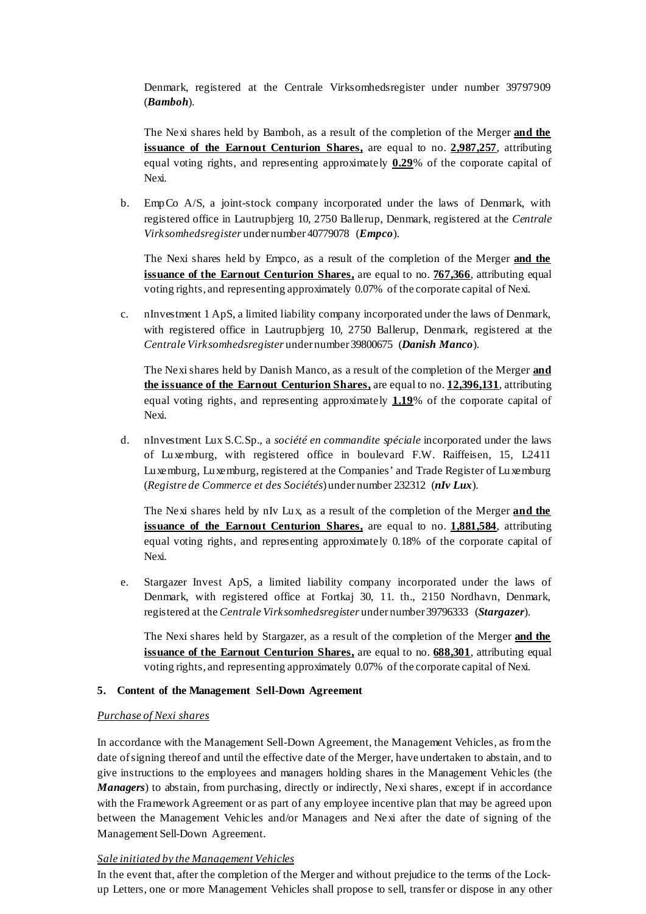Denmark, registered at the Centrale Virksomhedsregister under number 39797909 (*Bamboh*).

The Nexi shares held by Bamboh, as a result of the completion of the Merger **and the issuance of the Earnout Centurion Shares,** are equal to no. **2,987,257**, attributing equal voting rights, and representing approximately  $0.29$ % of the corporate capital of Nexi.

b. EmpCo A/S, a joint-stock company incorporated under the laws of Denmark, with registered office in Lautrupbjerg 10, 2750 Ballerup, Denmark, registered at the *Centrale Virksomhedsregister* under number 40779078 (*Empco*).

The Nexi shares held by Empco, as a result of the completion of the Merger **and the issuance of the Earnout Centurion Shares,** are equal to no. **767,366**, attributing equal voting rights, and representing approximately 0.07% of the corporate capital of Nexi.

c. nInvestment 1 ApS, a limited liability company incorporated under the laws of Denmark, with registered office in Lautrupbjerg 10, 2750 Ballerup, Denmark, registered at the *Centrale Virksomhedsregister* under number 39800675 (*Danish Manco*).

The Nexi shares held by Danish Manco, as a result of the completion of the Merger **and the issuance of the Earnout Centurion Shares,** are equal to no. **12,396,131**, attributing equal voting rights, and representing approximately 1.19% of the corporate capital of Nexi.

d. nInvestment Lux S.C.Sp., a *société en commandite spéciale* incorporated under the laws of Luxemburg, with registered office in boulevard F.W. Raiffeisen, 15, L2411 Luxemburg, Luxemburg, registered at the Companies' and Trade Register of Luxemburg (*Registre de Commerce et des Sociétés*) under number 232312 (*nIv Lux*).

The Nexi shares held by nIv Lux, as a result of the completion of the Merger **and the issuance of the Earnout Centurion Shares,** are equal to no. **1,881,584**, attributing equal voting rights, and representing approximately 0.18% of the corporate capital of Nexi.

e. Stargazer Invest ApS, a limited liability company incorporated under the laws of Denmark, with registered office at Fortkaj 30, 11. th., 2150 Nordhavn, Denmark, registered at the *Centrale Virksomhedsregister* under number 39796333 (*Stargazer*).

The Nexi shares held by Stargazer, as a result of the completion of the Merger **and the issuance of the Earnout Centurion Shares,** are equal to no. **688,301**, attributing equal voting rights, and representing approximately 0.07% of the corporate capital of Nexi.

# **5. Content of the Management Sell-Down Agreement**

#### *Purchase of Nexi shares*

In accordance with the Management Sell-Down Agreement, the Management Vehicles, as from the date of signing thereof and until the effective date of the Merger, have undertaken to abstain, and to give instructions to the employees and managers holding shares in the Management Vehicles (the *Managers*) to abstain, from purchasing, directly or indirectly, Nexi shares, except if in accordance with the Framework Agreement or as part of any employee incentive plan that may be agreed upon between the Management Vehicles and/or Managers and Nexi after the date of signing of the Management Sell-Down Agreement.

# *Sale initiated by the Management Vehicles*

In the event that, after the completion of the Merger and without prejudice to the terms of the Lockup Letters, one or more Management Vehicles shall propose to sell, transfer or dispose in any other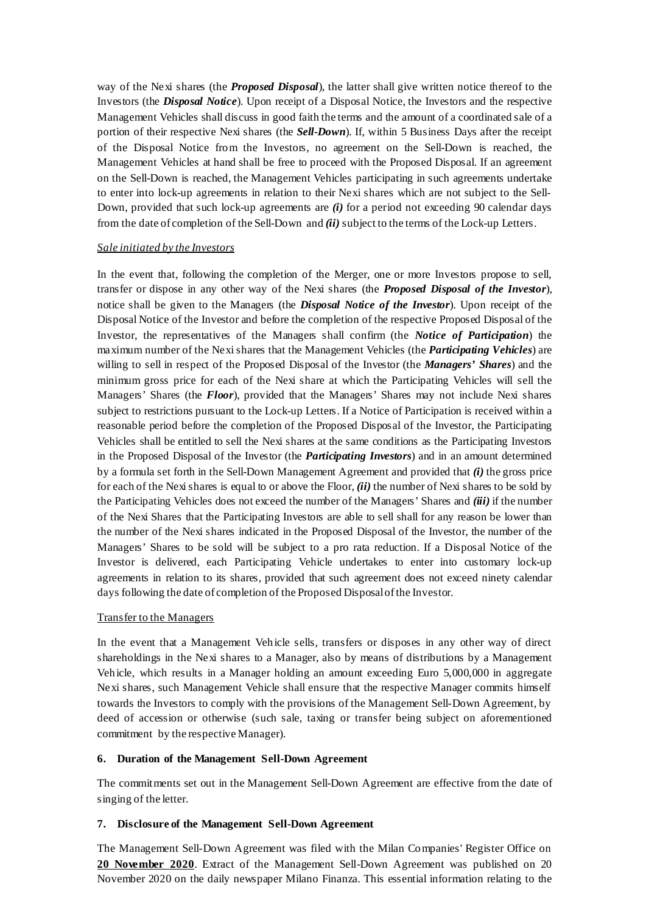way of the Nexi shares (the *Proposed Disposal*), the latter shall give written notice thereof to the Investors (the *Disposal Notice*). Upon receipt of a Disposal Notice, the Investors and the respective Management Vehicles shall discuss in good faith the terms and the amount of a coordinated sale of a portion of their respective Nexi shares (the *Sell-Down*). If, within 5 Business Days after the receipt of the Disposal Notice from the Investors, no agreement on the Sell-Down is reached, the Management Vehicles at hand shall be free to proceed with the Proposed Disposal. If an agreement on the Sell-Down is reached, the Management Vehicles participating in such agreements undertake to enter into lock-up agreements in relation to their Nexi shares which are not subject to the Sell-Down, provided that such lock-up agreements are *(i)* for a period not exceeding 90 calendar days from the date of completion of the Sell-Down and *(ii)* subject to the terms of the Lock-up Letters.

#### *Sale initiated by the Investors*

In the event that, following the completion of the Merger, one or more Investors propose to sell, transfer or dispose in any other way of the Nexi shares (the *Proposed Disposal of the Investor*), notice shall be given to the Managers (the *Disposal Notice of the Investor*). Upon receipt of the Disposal Notice of the Investor and before the completion of the respective Proposed Disposal of the Investor, the representatives of the Managers shall confirm (the *Notice of Participation*) the maximum number of the Nexi shares that the Management Vehicles (the *Participating Vehicles*) are willing to sell in respect of the Proposed Disposal of the Investor (the *Managers' Shares*) and the minimum gross price for each of the Nexi share at which the Participating Vehicles will sell the Managers' Shares (the *Floor*), provided that the Managers' Shares may not include Nexi shares subject to restrictions pursuant to the Lock-up Letters. If a Notice of Participation is received within a reasonable period before the completion of the Proposed Disposal of the Investor, the Participating Vehicles shall be entitled to sell the Nexi shares at the same conditions as the Participating Investors in the Proposed Disposal of the Investor (the *Participating Investors*) and in an amount determined by a formula set forth in the Sell-Down Management Agreement and provided that *(i)* the gross price for each of the Nexi shares is equal to or above the Floor, *(ii)* the number of Nexi shares to be sold by the Participating Vehicles does not exceed the number of the Managers' Shares and *(iii)* if the number of the Nexi Shares that the Participating Investors are able to sell shall for any reason be lower than the number of the Nexi shares indicated in the Proposed Disposal of the Investor, the number of the Managers' Shares to be sold will be subject to a pro rata reduction. If a Disposal Notice of the Investor is delivered, each Participating Vehicle undertakes to enter into customary lock-up agreements in relation to its shares, provided that such agreement does not exceed ninety calendar days following the date of completion of the Proposed Disposal of the Investor.

#### Transfer to the Managers

In the event that a Management Vehicle sells, transfers or disposes in any other way of direct shareholdings in the Nexi shares to a Manager, also by means of distributions by a Management Vehicle, which results in a Manager holding an amount exceeding Euro 5,000,000 in aggregate Nexi shares, such Management Vehicle shall ensure that the respective Manager commits himself towards the Investors to comply with the provisions of the Management Sell-Down Agreement, by deed of accession or otherwise (such sale, taxing or transfer being subject on aforementioned commitment by the respective Manager).

#### **6. Duration of the Management Sell-Down Agreement**

The commitments set out in the Management Sell-Down Agreement are effective from the date of singing of the letter.

#### **7. Disclosure of the Management Sell-Down Agreement**

The Management Sell-Down Agreement was filed with the Milan Companies' Register Office on **20 November 2020**. Extract of the Management Sell-Down Agreement was published on 20 November 2020 on the daily newspaper Milano Finanza. This essential information relating to the